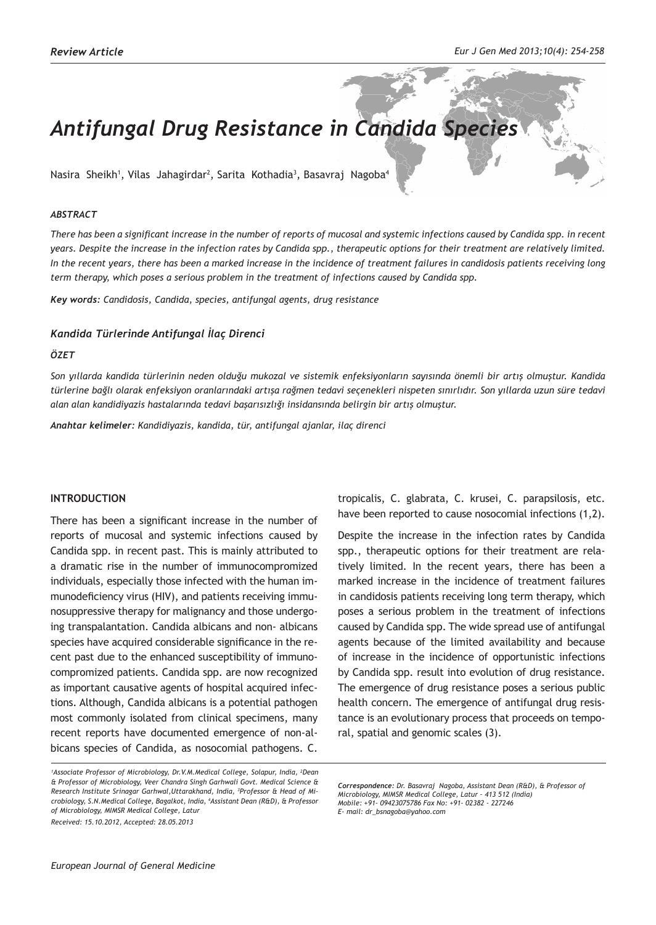# *Antifungal Drug Resistance in Candida Species*

Nasira Sheikh<sup>1</sup>, Vilas Jahagirdar<sup>2</sup>, Sarita Kothadia<sup>3</sup>, Basavraj Nagoba<sup>4</sup>

#### *ABSTRACT*

*There has been a significant increase in the number of reports of mucosal and systemic infections caused by Candida spp. in recent years. Despite the increase in the infection rates by Candida spp., therapeutic options for their treatment are relatively limited. In the recent years, there has been a marked increase in the incidence of treatment failures in candidosis patients receiving long term therapy, which poses a serious problem in the treatment of infections caused by Candida spp.* 

*Key words: Candidosis, Candida, species, antifungal agents, drug resistance*

#### *Kandida Türlerinde Antifungal İlaç Direnci*

#### *ÖZET*

*Son yıllarda kandida türlerinin neden olduğu mukozal ve sistemik enfeksiyonların sayısında önemli bir artış olmuştur. Kandida türlerine bağlı olarak enfeksiyon oranlarındaki artışa rağmen tedavi seçenekleri nispeten sınırlıdır. Son yıllarda uzun süre tedavi alan alan kandidiyazis hastalarında tedavi başarısızlığı insidansında belirgin bir artış olmuştur.* 

*Anahtar kelimeler: Kandidiyazis, kandida, tür, antifungal ajanlar, ilaç direnci*

### **INTRODUCTION**

There has been a significant increase in the number of reports of mucosal and systemic infections caused by Candida spp. in recent past. This is mainly attributed to a dramatic rise in the number of immunocompromized individuals, especially those infected with the human immunodeficiency virus (HIV), and patients receiving immunosuppressive therapy for malignancy and those undergoing transpalantation. Candida albicans and non- albicans species have acquired considerable significance in the recent past due to the enhanced susceptibility of immunocompromized patients. Candida spp. are now recognized as important causative agents of hospital acquired infections. Although, Candida albicans is a potential pathogen most commonly isolated from clinical specimens, many recent reports have documented emergence of non-albicans species of Candida, as nosocomial pathogens. C.

tropicalis, C. glabrata, C. krusei, C. parapsilosis, etc. have been reported to cause nosocomial infections (1,2).

Despite the increase in the infection rates by Candida spp., therapeutic options for their treatment are relatively limited. In the recent years, there has been a marked increase in the incidence of treatment failures in candidosis patients receiving long term therapy, which poses a serious problem in the treatment of infections caused by Candida spp. The wide spread use of antifungal agents because of the limited availability and because of increase in the incidence of opportunistic infections by Candida spp. result into evolution of drug resistance. The emergence of drug resistance poses a serious public health concern. The emergence of antifungal drug resistance is an evolutionary process that proceeds on temporal, spatial and genomic scales (3).

<sup>&</sup>lt;sup>1</sup> Associate Professor of Microbiology, Dr.V.M. Medical College, Solapur, India, <sup>2</sup>Dean *& Professor of Microbiology, Veer Chandra Singh Garhwali Govt. Medical Science & Research Institute Srinagar Garhwal,Uttarakhand, India, <sup>3</sup> Professor & Head of Microbiology, S.N.Medical College, Bagalkot, India, <sup>4</sup> Assistant Dean (R&D), & Professor of Microbiology, MIMSR Medical College, Latur Received: 15.10.2012, Accepted: 28.05.2013*

*Correspondence: Dr. Basavraj Nagoba, Assistant Dean (R&D), & Professor of Microbiology, MIMSR Medical College, Latur – 413 512 (India) Mobile: +91- 09423075786 Fax No: +91- 02382 - 227246 E- mail: dr\_bsnagoba@yahoo.com*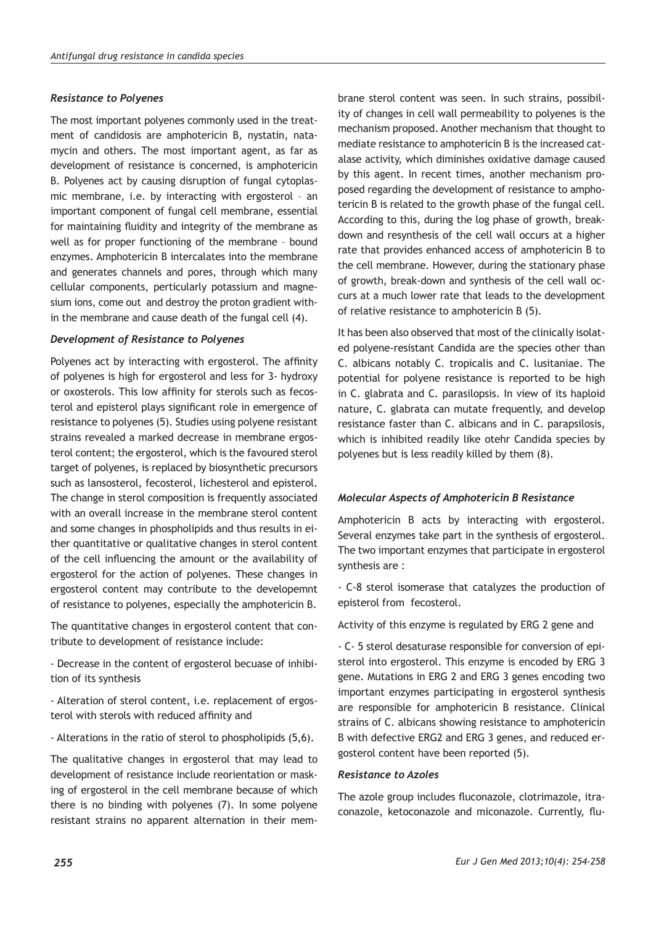## *Resistance to Polyenes*

The most important polyenes commonly used in the treatment of candidosis are amphotericin B, nystatin, natamycin and others. The most important agent, as far as development of resistance is concerned, is amphotericin B. Polyenes act by causing disruption of fungal cytoplasmic membrane, i.e. by interacting with ergosterol – an important component of fungal cell membrane, essential for maintaining fluidity and integrity of the membrane as well as for proper functioning of the membrane – bound enzymes. Amphotericin B intercalates into the membrane and generates channels and pores, through which many cellular components, perticularly potassium and magnesium ions, come out and destroy the proton gradient within the membrane and cause death of the fungal cell (4).

### *Development of Resistance to Polyenes*

Polyenes act by interacting with ergosterol. The affinity of polyenes is high for ergosterol and less for 3- hydroxy or oxosterols. This low affinity for sterols such as fecosterol and episterol plays significant role in emergence of resistance to polyenes (5). Studies using polyene resistant strains revealed a marked decrease in membrane ergosterol content; the ergosterol, which is the favoured sterol target of polyenes, is replaced by biosynthetic precursors such as lansosterol, fecosterol, lichesterol and episterol. The change in sterol composition is frequently associated with an overall increase in the membrane sterol content and some changes in phospholipids and thus results in either quantitative or qualitative changes in sterol content of the cell influencing the amount or the availability of ergosterol for the action of polyenes. These changes in ergosterol content may contribute to the developemnt of resistance to polyenes, especially the amphotericin B.

The quantitative changes in ergosterol content that contribute to development of resistance include:

- Decrease in the content of ergosterol becuase of inhibition of its synthesis

- Alteration of sterol content, i.e. replacement of ergosterol with sterols with reduced affinity and

- Alterations in the ratio of sterol to phospholipids (5,6).

The qualitative changes in ergosterol that may lead to development of resistance include reorientation or masking of ergosterol in the cell membrane because of which there is no binding with polyenes (7). In some polyene resistant strains no apparent alternation in their mem-

brane sterol content was seen. In such strains, possibility of changes in cell wall permeability to polyenes is the mechanism proposed. Another mechanism that thought to mediate resistance to amphotericin B is the increased catalase activity, which diminishes oxidative damage caused by this agent. In recent times, another mechanism proposed regarding the development of resistance to amphotericin B is related to the growth phase of the fungal cell. According to this, during the log phase of growth, breakdown and resynthesis of the cell wall occurs at a higher rate that provides enhanced access of amphotericin B to the cell membrane. However, during the stationary phase of growth, break-down and synthesis of the cell wall occurs at a much lower rate that leads to the development of relative resistance to amphotericin B (5).

It has been also observed that most of the clinically isolated polyene-resistant Candida are the species other than C. albicans notably C. tropicalis and C. lusitaniae. The potential for polyene resistance is reported to be high in C. glabrata and C. parasilopsis. In view of its haploid nature, C. glabrata can mutate frequently, and develop resistance faster than C. albicans and in C. parapsilosis, which is inhibited readily like otehr Candida species by polyenes but is less readily killed by them (8).

### *Molecular Aspects of Amphotericin B Resistance*

Amphotericin B acts by interacting with ergosterol. Several enzymes take part in the synthesis of ergosterol. The two important enzymes that participate in ergosterol synthesis are :

- C-8 sterol isomerase that catalyzes the production of episterol from fecosterol.

Activity of this enzyme is regulated by ERG 2 gene and

- C- 5 sterol desaturase responsible for conversion of episterol into ergosterol. This enzyme is encoded by ERG 3 gene. Mutations in ERG 2 and ERG 3 genes encoding two important enzymes participating in ergosterol synthesis are responsible for amphotericin B resistance. Clinical strains of C. albicans showing resistance to amphotericin B with defective ERG2 and ERG 3 genes, and reduced ergosterol content have been reported (5).

## *Resistance to Azoles*

The azole group includes fluconazole, clotrimazole, itraconazole, ketoconazole and miconazole. Currently, flu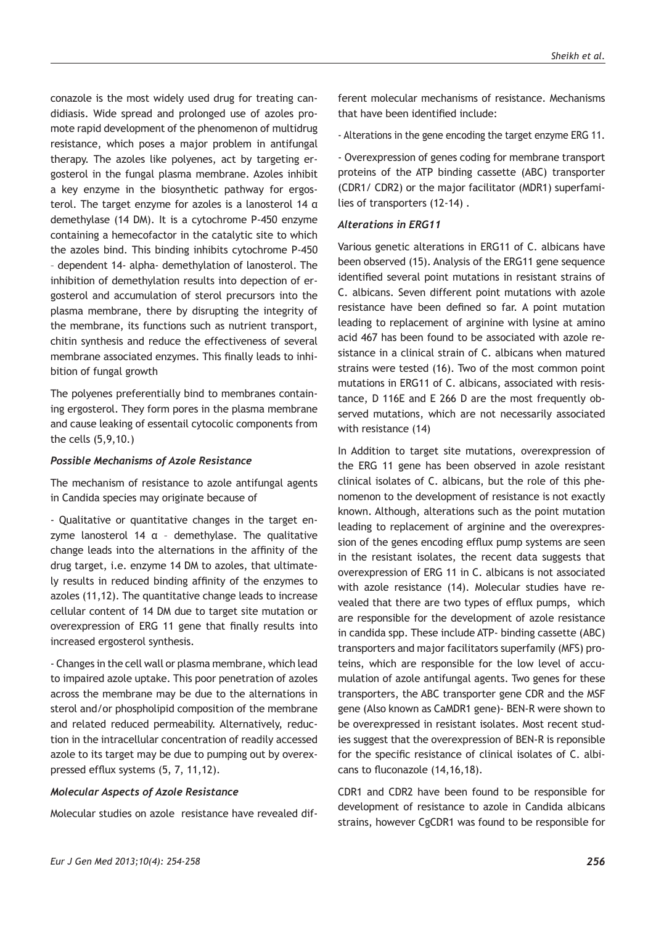conazole is the most widely used drug for treating candidiasis. Wide spread and prolonged use of azoles promote rapid development of the phenomenon of multidrug resistance, which poses a major problem in antifungal therapy. The azoles like polyenes, act by targeting ergosterol in the fungal plasma membrane. Azoles inhibit a key enzyme in the biosynthetic pathway for ergosterol. The target enzyme for azoles is a lanosterol 14 α demethylase (14 DM). It is a cytochrome P-450 enzyme containing a hemecofactor in the catalytic site to which the azoles bind. This binding inhibits cytochrome P-450 – dependent 14- alpha- demethylation of lanosterol. The inhibition of demethylation results into depection of er-

gosterol and accumulation of sterol precursors into the plasma membrane, there by disrupting the integrity of the membrane, its functions such as nutrient transport, chitin synthesis and reduce the effectiveness of several membrane associated enzymes. This finally leads to inhibition of fungal growth

The polyenes preferentially bind to membranes containing ergosterol. They form pores in the plasma membrane and cause leaking of essentail cytocolic components from the cells (5,9,10.)

### *Possible Mechanisms of Azole Resistance*

The mechanism of resistance to azole antifungal agents in Candida species may originate because of

- Qualitative or quantitative changes in the target enzyme lanosterol 14  $\alpha$  - demethylase. The qualitative change leads into the alternations in the affinity of the drug target, i.e. enzyme 14 DM to azoles, that ultimately results in reduced binding affinity of the enzymes to azoles (11,12). The quantitative change leads to increase cellular content of 14 DM due to target site mutation or overexpression of ERG 11 gene that finally results into increased ergosterol synthesis.

- Changes in the cell wall or plasma membrane, which lead to impaired azole uptake. This poor penetration of azoles across the membrane may be due to the alternations in sterol and/or phospholipid composition of the membrane and related reduced permeability. Alternatively, reduction in the intracellular concentration of readily accessed azole to its target may be due to pumping out by overexpressed efflux systems (5, 7, 11,12).

#### *Molecular Aspects of Azole Resistance*

Molecular studies on azole resistance have revealed dif-

ferent molecular mechanisms of resistance. Mechanisms that have been identified include:

- Alterations in the gene encoding the target enzyme ERG 11.

- Overexpression of genes coding for membrane transport proteins of the ATP binding cassette (ABC) transporter (CDR1/ CDR2) or the major facilitator (MDR1) superfamilies of transporters (12-14) .

#### *Alterations in ERG11*

Various genetic alterations in ERG11 of C. albicans have been observed (15). Analysis of the ERG11 gene sequence identified several point mutations in resistant strains of C. albicans. Seven different point mutations with azole resistance have been defined so far. A point mutation leading to replacement of arginine with lysine at amino acid 467 has been found to be associated with azole resistance in a clinical strain of C. albicans when matured strains were tested (16). Two of the most common point mutations in ERG11 of C. albicans, associated with resistance, D 116E and E 266 D are the most frequently observed mutations, which are not necessarily associated with resistance (14)

In Addition to target site mutations, overexpression of the ERG 11 gene has been observed in azole resistant clinical isolates of C. albicans, but the role of this phenomenon to the development of resistance is not exactly known. Although, alterations such as the point mutation leading to replacement of arginine and the overexpression of the genes encoding efflux pump systems are seen in the resistant isolates, the recent data suggests that overexpression of ERG 11 in C. albicans is not associated with azole resistance (14). Molecular studies have revealed that there are two types of efflux pumps, which are responsible for the development of azole resistance in candida spp. These include ATP- binding cassette (ABC) transporters and major facilitators superfamily (MFS) proteins, which are responsible for the low level of accumulation of azole antifungal agents. Two genes for these transporters, the ABC transporter gene CDR and the MSF gene (Also known as CaMDR1 gene)- BEN-R were shown to be overexpressed in resistant isolates. Most recent studies suggest that the overexpression of BEN-R is reponsible for the specific resistance of clinical isolates of C. albicans to fluconazole (14,16,18).

CDR1 and CDR2 have been found to be responsible for development of resistance to azole in Candida albicans strains, however CgCDR1 was found to be responsible for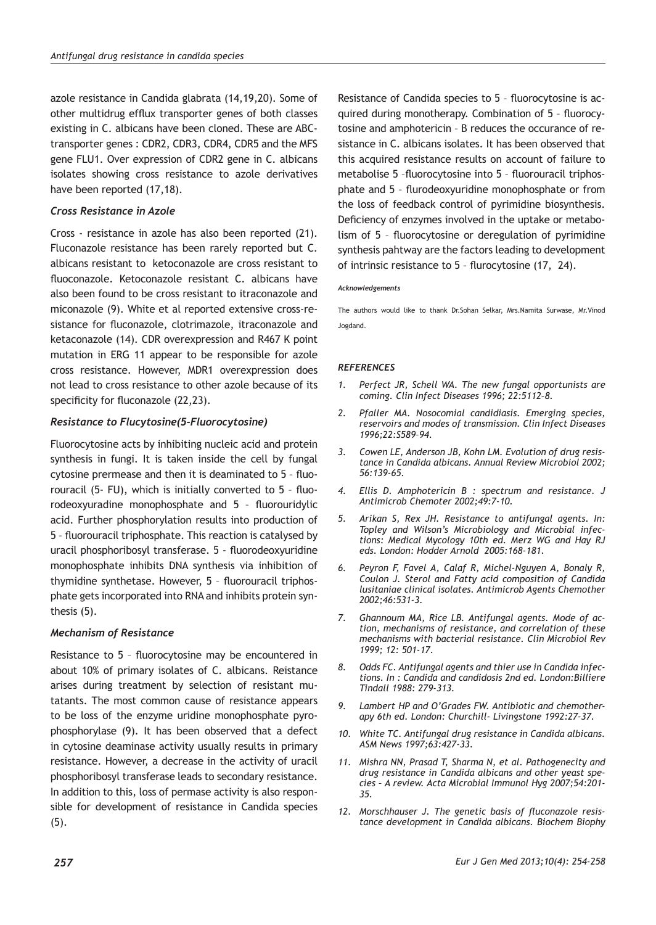azole resistance in Candida glabrata (14,19,20). Some of other multidrug efflux transporter genes of both classes existing in C. albicans have been cloned. These are ABCtransporter genes : CDR2, CDR3, CDR4, CDR5 and the MFS gene FLU1. Over expression of CDR2 gene in C. albicans isolates showing cross resistance to azole derivatives have been reported (17,18).

## *Cross Resistance in Azole*

Cross - resistance in azole has also been reported (21). Fluconazole resistance has been rarely reported but C. albicans resistant to ketoconazole are cross resistant to fluoconazole. Ketoconazole resistant C. albicans have also been found to be cross resistant to itraconazole and miconazole (9). White et al reported extensive cross-resistance for fluconazole, clotrimazole, itraconazole and ketaconazole (14). CDR overexpression and R467 K point mutation in ERG 11 appear to be responsible for azole cross resistance. However, MDR1 overexpression does not lead to cross resistance to other azole because of its specificity for fluconazole (22,23).

## *Resistance to Flucytosine(5-Fluorocytosine)*

Fluorocytosine acts by inhibiting nucleic acid and protein synthesis in fungi. It is taken inside the cell by fungal cytosine prermease and then it is deaminated to 5 – fluorouracil (5- FU), which is initially converted to 5 – fluorodeoxyuradine monophosphate and 5 – fluorouridylic acid. Further phosphorylation results into production of 5 – fluorouracil triphosphate. This reaction is catalysed by uracil phosphoribosyl transferase. 5 - fluorodeoxyuridine monophosphate inhibits DNA synthesis via inhibition of thymidine synthetase. However, 5 – fluorouracil triphosphate gets incorporated into RNA and inhibits protein synthesis (5).

### *Mechanism of Resistance*

Resistance to 5 – fluorocytosine may be encountered in about 10% of primary isolates of C. albicans. Reistance arises during treatment by selection of resistant mutatants. The most common cause of resistance appears to be loss of the enzyme uridine monophosphate pyrophosphorylase (9). It has been observed that a defect in cytosine deaminase activity usually results in primary resistance. However, a decrease in the activity of uracil phosphoribosyl transferase leads to secondary resistance. In addition to this, loss of permase activity is also responsible for development of resistance in Candida species (5).

Resistance of Candida species to 5 – fluorocytosine is acquired during monotherapy. Combination of 5 – fluorocytosine and amphotericin – B reduces the occurance of resistance in C. albicans isolates. It has been observed that this acquired resistance results on account of failure to metabolise 5 –fluorocytosine into 5 – fluorouracil triphosphate and 5 – flurodeoxyuridine monophosphate or from the loss of feedback control of pyrimidine biosynthesis. Deficiency of enzymes involved in the uptake or metabolism of 5 – fluorocytosine or deregulation of pyrimidine synthesis pahtway are the factors leading to development of intrinsic resistance to 5 – flurocytosine (17, 24).

#### *Acknowledgements*

The authors would like to thank Dr.Sohan Selkar, Mrs.Namita Surwase, Mr.Vinod Jogdand.

### *REFERENCES*

- *1. Perfect JR, Schell WA. The new fungal opportunists are coming. Clin Infect Diseases 1996; 22:5112–8.*
- *2. Pfaller MA. Nosocomial candidiasis. Emerging species, reservoirs and modes of transmission. Clin Infect Diseases 1996;22:S589–94.*
- *3. Cowen LE, Anderson JB, Kohn LM. Evolution of drug resistance in Candida albicans. Annual Review Microbiol 2002; 56:139-65.*
- *4. Ellis D. Amphotericin B : spectrum and resistance. J Antimicrob Chemoter 2002;49:7-10.*
- *5. Arikan S, Rex JH. Resistance to antifungal agents. In: Topley and Wilson's Microbiology and Microbial infections: Medical Mycology 10th ed. Merz WG and Hay RJ eds. London: Hodder Arnold 2005:168-181.*
- *6. Peyron F, Favel A, Calaf R, Michel-Nguyen A, Bonaly R, Coulon J. Sterol and Fatty acid composition of Candida lusitaniae clinical isolates. Antimicrob Agents Chemother 2002;46:531-3.*
- *7. Ghannoum MA, Rice LB. Antifungal agents. Mode of action, mechanisms of resistance, and correlation of these mechanisms with bacterial resistance. Clin Microbiol Rev 1999; 12: 501-17.*
- *8. Odds FC. Antifungal agents and thier use in Candida infections. In : Candida and candidosis 2nd ed. London:Billiere Tindall 1988: 279-313.*
- *9. Lambert HP and O'Grades FW. Antibiotic and chemotherapy 6th ed. London: Churchill- Livingstone 1992:27-37.*
- *10. White TC. Antifungal drug resistance in Candida albicans. ASM News 1997;63:427-33.*
- *11. Mishra NN, Prasad T, Sharma N, et al. Pathogenecity and drug resistance in Candida albicans and other yeast species – A review. Acta Microbial Immunol Hyg 2007;54:201- 35.*
- *12. Morschhauser J. The genetic basis of fluconazole resistance development in Candida albicans. Biochem Biophy*